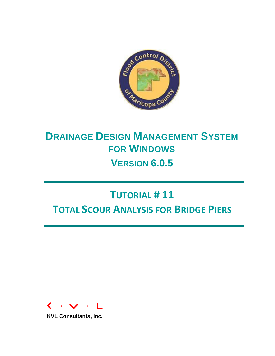

# **DRAINAGE DESIGN MANAGEMENT SYSTEM FOR WINDOWS VERSION 6.0.5**

# **TUTORIAL # 11 TOTAL SCOUR ANALYSIS FOR BRIDGE PIERS**



**KVL Consultants, Inc.**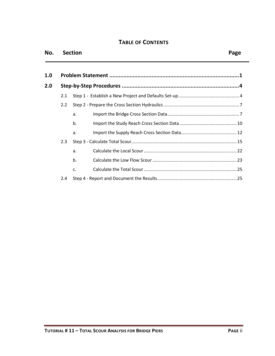### **TABLE OF CONTENTS**

| No. |               | <b>Section</b> | Page |
|-----|---------------|----------------|------|
| 1.0 |               |                |      |
| 2.0 |               |                |      |
|     | 2.1           |                |      |
|     | $2.2^{\circ}$ |                |      |
|     |               | a.             |      |
|     |               | b.             |      |
|     |               | a.             |      |
|     | 2.3           |                |      |

a. [Calculate the Local Scour...........................................................................22](#page-23-0)

b. [Calculate the Low Flow Scour....................................................................23](#page-24-0)

c. [Calculate the Total Scour...........................................................................25](#page-26-0)

2.4 Step 4 - [Report and Document the Results................................................................25](#page-26-1)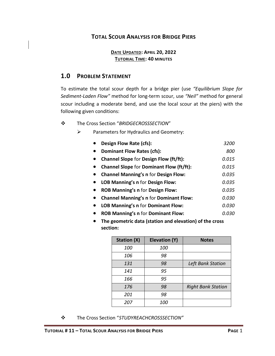# **TOTAL SCOUR ANALYSIS FOR BRIDGE PIERS**

#### **DATE UPDATED: APRIL 20, 2022 TUTORIAL TIME: 40 MINUTES**

# <span id="page-2-0"></span>**1.0 PROBLEM STATEMENT**

To estimate the total scour depth for a bridge pier (use *"Equilibrium Slope for Sediment-Laden Flow"* method for long-term scour, use *"Neil"* method for general scour including a moderate bend, and use the local scour at the piers) with the following given conditions:

#### ❖ The Cross Section "*BRIDGECROSSSECTION*"

- $\triangleright$  Parameters for Hydraulics and Geometry:
	- **Design Flow Rate (cfs):** *3200*
	- **Dominant Flow Rates (cfs):** *800*
	- **Channel Slope** for **Design Flow (ft/ft):** *0.015*
	- **Channel Slope** for **Dominant Flow (ft/ft):** *0.015*
	- **Channel Manning's n** for **Design Flow:** *0.035*
	- **LOB Manning's n** for **Design Flow:** *0.035*
	- **ROB Manning's n** for **Design Flow:** *0.035*
	- **Channel Manning's n** for **Dominant Flow:** *0.030*
	- **LOB Manning's n** for **Dominant Flow:** *0.030*
	- **ROB Manning's n** for **Dominant Flow:** *0.030*
	- **The geometric data (station and elevation) of the cross section:**

| <b>Station (X)</b> | Elevation (Y) | <b>Notes</b>              |
|--------------------|---------------|---------------------------|
| 100                | 100           |                           |
| 106                | 98            |                           |
| 131                | 98            | Left Bank Station         |
| 141                | 95            |                           |
| 166                | 95            |                           |
| 176                | 98            | <b>Right Bank Station</b> |
| 201                | 98            |                           |
| 207                | 100           |                           |

❖ The Cross Section "*STUDYREACHCROSSSECTION"*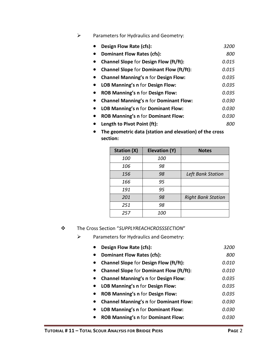# ➢ Parameters for Hydraulics and Geometry:

| Design Flow Rate (cfs):                         | 3200  |
|-------------------------------------------------|-------|
| <b>Dominant Flow Rates (cfs):</b>               | 800   |
| <b>Channel Slope for Design Flow (ft/ft):</b>   | 0.015 |
| <b>Channel Slope for Dominant Flow (ft/ft):</b> | 0.015 |
| <b>Channel Manning's n for Design Flow:</b>     | 0.035 |
| LOB Manning's n for Design Flow:                | 0.035 |
| <b>ROB Manning's n for Design Flow:</b>         | 0.035 |
| <b>Channel Manning's n for Dominant Flow:</b>   | 0.030 |
| <b>LOB Manning's n for Dominant Flow:</b>       | 0.030 |
| <b>ROB Manning's n for Dominant Flow:</b>       | 0.030 |
| Length to Pivot Point (ft):                     | 800   |
|                                                 |       |

• **The geometric data (station and elevation) of the cross section:**

| <b>Station (X)</b> | <b>Elevation (Y)</b> | <b>Notes</b>              |
|--------------------|----------------------|---------------------------|
| 100                | 100                  |                           |
| 106                | 98                   |                           |
| 156                | 98                   | Left Bank Station         |
| 166                | 95                   |                           |
| 191                | 95                   |                           |
| 201                | 98                   | <b>Right Bank Station</b> |
| 251                | 98                   |                           |
| 257                | <i>100</i>           |                           |

❖ The Cross Section "*SUPPLYREACHCROSSSECTION*"

➢ Parameters for Hydraulics and Geometry:

| Design Flow Rate (cfs):                         | 3200         |
|-------------------------------------------------|--------------|
| <b>Dominant Flow Rates (cfs):</b>               | 800          |
| <b>Channel Slope for Design Flow (ft/ft):</b>   | <i>0.010</i> |
| <b>Channel Slope for Dominant Flow (ft/ft):</b> | 0.010        |
| <b>Channel Manning's n for Design Flow:</b>     | 0.035        |
| LOB Manning's n for Design Flow:                | 0.035        |
| ROB Manning's n for Design Flow:                | 0.035        |
| <b>Channel Manning's n for Dominant Flow:</b>   | 0.030        |
| LOB Manning's n for Dominant Flow:              | 0.030        |
| <b>ROB Manning's n for Dominant Flow:</b>       | <i>0.030</i> |
|                                                 |              |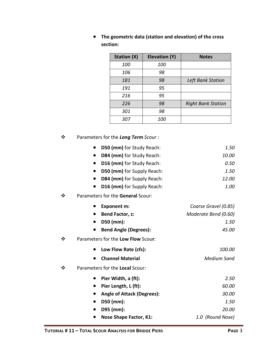| <b>Station (X)</b> | Elevation (Y) | <b>Notes</b>              |
|--------------------|---------------|---------------------------|
| 100                | 100           |                           |
| 106                | 98            |                           |
| 181                | 98            | <b>Left Bank Station</b>  |
| 191                | 95            |                           |
| 216                | 95            |                           |
| 226                | 98            | <b>Right Bank Station</b> |
| 301                | 98            |                           |
| 307                | <i>100</i>    |                           |

• **The geometric data (station and elevation) of the cross section:**

❖ Parameters for the *Long Term Scour* :

|         | D50 (mm) for Study Reach:               | 1.50                 |
|---------|-----------------------------------------|----------------------|
|         | D84 (mm) for Study Reach:               | 10.00                |
|         | D16 (mm) for Study Reach:               | 0.50                 |
|         | D50 (mm) for Supply Reach:<br>$\bullet$ | 1.50                 |
|         | D84 (mm) for Supply Reach:<br>$\bullet$ | 12.00                |
|         | D16 (mm) for Supply Reach:              | 1.00                 |
| ❖       | Parameters for the General Scour:       |                      |
|         | <b>Exponent m:</b>                      | Coarse Gravel (0.85) |
|         | Bend Factor, z:<br>$\bullet$            | Moderate Bend (0.60) |
|         | D50 (mm):<br>$\bullet$                  | 1.50                 |
|         | <b>Bend Angle (Degrees):</b>            | 45.00                |
| ❖       | Parameters for the Low Flow Scour:      |                      |
|         | Low Flow Rate (cfs):                    | 100.00               |
|         | <b>Channel Material</b>                 | <b>Medium Sand</b>   |
| $\cdot$ | Parameters for the Local Scour:         |                      |
|         | Pier Width, a (ft):                     | 2.50                 |
|         | Pier Length, L (ft):<br>$\bullet$       | 60.00                |
|         | <b>Angle of Attack (Degrees):</b>       | 30.00                |
|         | D50 (mm):                               | 1.50                 |
|         | D95 (mm):                               | 20.00                |
|         | <b>Nose Shape Factor, K1:</b>           | 1.0 (Round Nose)     |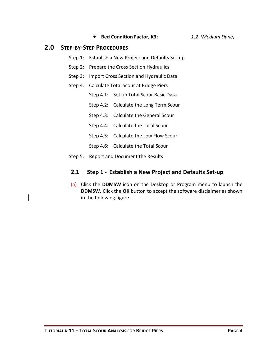- **Bed Condition Factor, K3:** *1.2 (Medium Dune)*
- 

# <span id="page-5-0"></span>**2.0 STEP-BY-STEP PROCEDURES**

- Step 1: Establish a New Project and Defaults Set-up
- Step 2: Prepare the Cross Section Hydraulics
- Step 3: Import Cross Section and Hydraulic Data
- Step 4: Calculate Total Scour at Bridge Piers
	- Step 4.1: Set up Total Scour Basic Data
	- Step 4.2: Calculate the Long Term Scour
	- Step 4.3: Calculate the General Scour
	- Step 4.4: Calculate the Local Scour
	- Step 4.5: Calculate the Low Flow Scour
	- Step 4.6: Calculate the Total Scour
- <span id="page-5-1"></span>Step 5: Report and Document the Results

### **2.1 Step 1 - Establish a New Project and Defaults Set-up**

(a) Click the **DDMSW** icon on the Desktop or Program menu to launch the **DDMSW.** Click the **OK** button to accept the software disclaimer as shown in the following figure.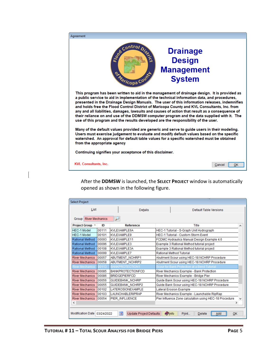| Agreement                                                                                                                                                                                                                                                                                                                                                                                                                                                                                                                                                                                                                                                                         |                                                                        |
|-----------------------------------------------------------------------------------------------------------------------------------------------------------------------------------------------------------------------------------------------------------------------------------------------------------------------------------------------------------------------------------------------------------------------------------------------------------------------------------------------------------------------------------------------------------------------------------------------------------------------------------------------------------------------------------|------------------------------------------------------------------------|
| See Control Disc<br>ormaricopa Cour                                                                                                                                                                                                                                                                                                                                                                                                                                                                                                                                                                                                                                               | <b>Drainage</b><br><b>Design</b><br><b>Management</b><br><b>System</b> |
| This program has been written to aid in the management of drainage design. It is provided as<br>a public service to aid in implementation of the technical information data, and procedures,<br>presented in the Drainage Design Manuals. The user of this information releases, indemnifies<br>and holds free the Flood Control District of Maricopa County and KVL Consultants, Inc. from<br>any and all liabilities, damages, lawsuits and causes of action that result as a consequence of<br>their reliance on and use of the DDMSW computer program and the data supplied with it. The<br>use of this program and the results developed are the responsibility of the user. |                                                                        |
| Many of the default values provided are generic and serve to guide users in their modeling.<br>Users must exercise judgement to evaluate and modify default values based on the specific<br>watershed. An approval for default table values for a specific watershed must be obtained<br>from the appropriate agency                                                                                                                                                                                                                                                                                                                                                              |                                                                        |
| Continuing signifies your acceptance of this disclaimer.                                                                                                                                                                                                                                                                                                                                                                                                                                                                                                                                                                                                                          |                                                                        |
| <b>KVL Consultants, Inc.</b>                                                                                                                                                                                                                                                                                                                                                                                                                                                                                                                                                                                                                                                      | ок<br>Cancel                                                           |

After the **DDMSW** is launched, the **SELECT PROJECT** window is automatically opened as shown in the following figure.

| List                         |        | <b>Details</b>           | Default Table Versions                                                 |
|------------------------------|--------|--------------------------|------------------------------------------------------------------------|
| <b>Group River Mechanics</b> |        | لئو                      |                                                                        |
| <b>Project Group ▲</b>       | ID     | <b>Reference</b>         | Title<br>۸                                                             |
| <b>HEC-1 Model</b>           | 00111  | KVLEXAMPLE6A             | HEC-1 Tutorial - S-Graph Unit Hydrograph                               |
| <b>HEC-1 Model</b>           | 00101  | <b>KVLEXAMPLE9</b>       | <b>HEC-1 Tutorial - Custom Storm Event</b>                             |
| Rational Method              | 00093  | KVLEXAMPLE11             | FCDMC Hydraulics Manual Design Example 4.6                             |
| Rational Method              | 00096  | <b>KVLEXAMPLE3</b>       | Example 3 Rational Method tutorial project                             |
| Rational Method              | 00108  | KVLEXAMPLE3A             | Example 3 Rational Method tutorial project                             |
| Rational Method              | 00099  | KVI FXAMPI F7            | Rational Method Tutorial                                               |
| <b>River Mechanics</b>       | 00057  | <b>ABUTMENT NCHRP1</b>   | Abutment Scour using HEC-18 NCHRP Procedure                            |
| <b>River Mechanics</b>       | 00058  | <b>ABUTMENT NCHRP2</b>   | Abutment Scour using HEC-18 NCHRP Procedure                            |
| <b>River Mechanics</b>       | 00113  | <b>BANKPROTECTION1</b>   | Scour for Bank Protection at a Bend Tutorial                           |
| <b>River Mechanics</b>       | 00085  | <b>BANKPROTECTIONFCD</b> | River Mechanics Example - Bank Protection                              |
| <b>River Mechanics</b>       | 100086 | <b>BRIDGEPIERECD</b>     | River Mechanics Example - Bridge Pier                                  |
| <b>River Mechanics</b>       | 00056  | <b>GUIDEBANK NCHRP</b>   | Guide Bank Scour using HEC-18 NCHRP Procedure                          |
| <b>River Mechanics</b>       | 00055  | <b>GUIDEBANK NCHRP2</b>  | Guide Bank Scour using HEC-18 NCHRP Procedure                          |
| <b>River Mechanics</b>       | 00102  | <b>LATEROSIONEXAMPLE</b> | Lateral Erosion Example                                                |
| <b>River Mechanics</b>       | 00103  | <b>LAUNCHABLERIPRAP</b>  | River Mechanics Example - Launchable RipRap                            |
| <b>River Mechanics</b>       | 00054  | <b>PIER INFLUENCE</b>    | Pier Influence Zone calculation using HEC-18 Procedure<br>$\checkmark$ |
| ∢                            |        |                          | $\rightarrow$                                                          |
|                              |        |                          |                                                                        |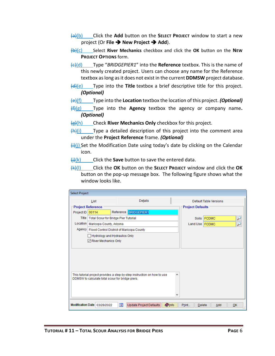- (a)(b) Click the **Add** button on the **SELECT PROJECT** window to start a new project (Or **File** ➔ **New Project** ➔ **Add**).
- (b)(c) Select **River Mechanics** checkbox and click the **OK** button on the **NEW PROJECT OPTIONS** form.
- (c)(d) Type "*BRIDGEPIER1*" into the **Reference** textbox. This is the name of this newly created project. Users can choose any name for the Reference textbox as long as it does not exist in the current **DDMSW** project database.
- (d)(e) Type into the **Title** textbox a brief descriptive title for this project. *(Optional)*
- (e)(f) Type into the **Location** textbox the location of this project. *(Optional)*
- (f)(g) Type into the **Agency** textbox the agency or company name**.**  *(Optional)*
- (g)(h) Check **River Mechanics Only** checkbox for this project.
- $\frac{f(h)}{i}$  Type a detailed description of this project into the comment area under the **Project Reference** frame. *(Optional)*
- $\frac{\text{ii}}{\text{ii}}$ (i) Set the Modification Date using today's date by clicking on the Calendar icon.
- (j)(k) Click the **Save** button to save the entered data.
- (k)(l) Click the **OK** button on the **SELECT PROJECT** window and click the **OK**  button on the pop-up message box. The following figure shows what the window looks like.

| <b>Select Project</b> |                                                       |           |                                                                         |               |                         |                        |    |
|-----------------------|-------------------------------------------------------|-----------|-------------------------------------------------------------------------|---------------|-------------------------|------------------------|----|
|                       | List                                                  |           | Details                                                                 |               |                         | Default Table Versions |    |
|                       | <b>Project Reference</b>                              |           |                                                                         |               | <b>Project Defaults</b> |                        |    |
| Project ID            | 00114                                                 |           | Reference BRIDGEPIER1                                                   |               |                         |                        |    |
|                       | Title   Total Scour for Bridge Pier Tutorial          |           |                                                                         |               |                         | Soils FCDMC            |    |
| Location              | Maricopa County, Arizona                              |           |                                                                         |               | Land Use   FCDMC        |                        |    |
|                       | Agency   Flood Control District of Maricopa County    |           |                                                                         |               |                         |                        |    |
|                       | Hydrology and Hydraulics Only<br>River Mechanics Only |           |                                                                         |               |                         |                        |    |
|                       | DDMSW to calculate total scour for bridge piers.      |           | This tutorial project provides a step-by-step instruction on how to use | ۸             |                         |                        |    |
|                       | Modification Date 03/28/2022                          | <b>IN</b> | <b>Update Project Defaults</b>                                          | <b>O</b> Info | Print<br><b>Delete</b>  | Add                    | OK |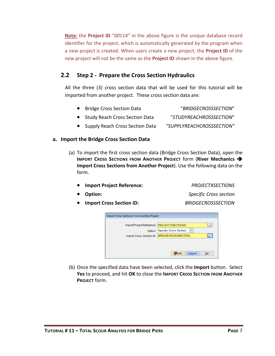**Note:** the **Project ID** "*00114"* in the above figure is the unique database record identifier for the project, which is automatically generated by the program when a new project is created. When users create a new project, the **Project ID** of the new project will not be the same as the **Project ID** shown in the above figure.

# <span id="page-8-0"></span>**2.2 Step 2 - Prepare the Cross Section Hydraulics**

All the three (3) cross section data that will be used for this tutorial will be imported from another project. These cross section data are:

| • Bridge Cross Section Data      | "BRIDGECROSSSECTION"      |
|----------------------------------|---------------------------|
| • Study Reach Cross Section Data | "STUDYREACHROSSSECTION"   |
| Supply Reach Cross Section Data  | "SUPPLYREACHCROSSSECTION" |

#### <span id="page-8-1"></span>**a. Import the Bridge Cross Section Data**

- (a) To import the first cross section data (Bridge Cross Section Data), open the **IMPORT CROSS SECTIONS FROM ANOTHER PROJECT** form (**River Mechanics** ➔ **Import Cross Sections from Another Project**). Use the following data on the form.
	- **Import Project Reference:** *PROJECTXSECTIONS*

- **Option:** *Specific Cross section*
- **Import Cross Section ID:** *BRIDGECROSSSECTION*



(b) Once the specified data have been selected, click the **Import** button. Select **Yes** to proceed, and hit **OK** to close the **IMPORT CROSS SECTION FROM ANOTHER PROJECT** form.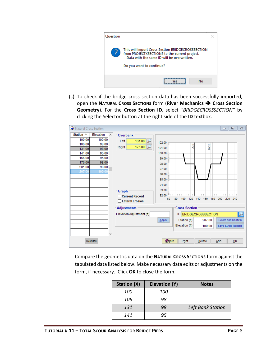

(c) To check if the bridge cross section data has been successfully imported, open the **NATURAL CROSS SECTIONS** form (**River Mechanics** ➔ **Cross Section Geometry**). For the **Cross Section ID**, select *"BRIDGECROSSSECTION"* by clicking the Selector button at the right side of the **ID** textbox.

| Station $\triangle$<br>Elevation<br>$\mathcal{A}_1$<br>Overbank<br>100.00<br>100.00<br>Left<br>131.00<br>102.00<br>106.00<br>98.00<br>go<br>ąов<br>176.00<br>Right<br>101.00<br>131.00<br>98.00<br>141.00<br>95.00<br>100.00 |
|------------------------------------------------------------------------------------------------------------------------------------------------------------------------------------------------------------------------------|
|                                                                                                                                                                                                                              |
|                                                                                                                                                                                                                              |
|                                                                                                                                                                                                                              |
|                                                                                                                                                                                                                              |
|                                                                                                                                                                                                                              |
| 95.00<br>166.00<br>99.00                                                                                                                                                                                                     |
| 176.00<br>98.00<br>98.00                                                                                                                                                                                                     |
| 201.00<br>98.00<br>97.00                                                                                                                                                                                                     |
| 100.00<br>207.00<br>96.00                                                                                                                                                                                                    |
| 95.00                                                                                                                                                                                                                        |
| 94.00                                                                                                                                                                                                                        |
| 93.00                                                                                                                                                                                                                        |
| Graph<br><u>la da basa bas</u><br>92.00 ELLE LILL LILL<br>$\mathcal{A}=\mathcal{A}=\mathcal{A}=\mathcal{A}=\mathcal{A}=\mathcal{A}$<br>1.1.1                                                                                 |
| □ Current Record<br>120 140 160 180<br>80<br>200<br>220 240<br>60<br>100                                                                                                                                                     |
| Lateral Erosion                                                                                                                                                                                                              |
| <b>Cross Section</b><br><b>Adjustments</b>                                                                                                                                                                                   |
| $\overline{\mathcal{P}}$<br>Elevation Adjustment (ft)<br>ID BRIDGECROSSSECTION                                                                                                                                               |
| Delete and Confirm<br>Adjust<br>Station (ft)<br>207.00                                                                                                                                                                       |
| Elevation (ft)<br>Save & Add Record<br>100.00                                                                                                                                                                                |
| v                                                                                                                                                                                                                            |
|                                                                                                                                                                                                                              |
| <b>Olnfo</b><br>QK<br>Overbank<br>Print<br>Delete<br>Add                                                                                                                                                                     |

Compare the geometric data on the **NATURAL CROSS SECTIONS** form against the tabulated data listed below. Make necessary data edits or adjustments on the form, if necessary. Click **OK** to close the form.

| Station (X) | Elevation (Y) | <b>Notes</b>      |
|-------------|---------------|-------------------|
| <i>100</i>  | <i>100</i>    |                   |
| 106         | 98            |                   |
| 131         | 98            | Left Bank Station |
| 141         | 95            |                   |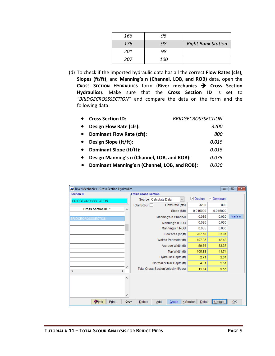| 166 | 95  |                           |
|-----|-----|---------------------------|
| 176 | 98  | <b>Right Bank Station</b> |
| 201 | 98  |                           |
| 207 | 100 |                           |

(d) To check if the imported hydraulic data has all the correct **Flow Rates (cfs)**, **Slopes (ft/ft)**, and **Manning's n (Channel, LOB, and ROB)** data, open the **CROSS SECTION HYDRAULICS** form (**River mechanics** ➔ **Cross Section Hydraulics**). Make sure that the **Cross Section ID** is set to *"BRIDGECROSSSECTION"* and compare the data on the form and the following data:

| <b>Cross Section ID:</b>                      | <b>BRIDGECROSSSECTION</b> |
|-----------------------------------------------|---------------------------|
| Design Flow Rate (cfs):                       | <i>3200</i>               |
| <b>Dominant Flow Rate (cfs):</b>              | 800                       |
| Design Slope (ft/ft):                         | 0.015                     |
| Dominant Slope (ft/ft):                       | 0.015                     |
| Design Manning's n (Channel, LOB, and ROB):   | 0.035                     |
| Dominant Manning's n (Channel, LOB, and ROB): | 0.030                     |

| River Mechanics - Cross Section Hydraulics |                             |                                         |                        | <u>a 19</u>       | $\ x\ $ |
|--------------------------------------------|-----------------------------|-----------------------------------------|------------------------|-------------------|---------|
| <b>Section ID</b>                          | <b>Entire Cross Section</b> |                                         |                        |                   |         |
| <b>BRIDGECROSSSECTION</b>                  |                             | $\checkmark$<br>Source   Calculate Data | $\triangledown$ Design | <b>⊘</b> Dominant |         |
|                                            | Total Scour                 | Flow Rate (cfs)                         | 3200                   | 800               |         |
| Cross Section ID A<br>А                    |                             | Slope (ft/ft)                           | 0.015000               | 0.015000          |         |
| <b>BRIDGECROSSSECTION</b>                  |                             | Manning's n Channel                     | 0.035                  | 0.030             | Man's n |
|                                            |                             | Manning's n LOB                         | 0.035                  | 0.030             |         |
|                                            |                             | Manning's n ROB                         | 0.035                  | 0.030             |         |
|                                            |                             | Flow Area (sq ft)                       | 287.18                 | 83.81             |         |
|                                            |                             | Wetted Perimeter (ft)                   | 107.35                 | 42.48             |         |
|                                            |                             | Average Width (ft)                      | 59.66                  | 33.37             |         |
|                                            |                             | Top Width (ft)                          | 105.88                 | 41.74             |         |
|                                            |                             | Hydraulic Depth (ft)                    | 2.71                   | 2.01              |         |
|                                            |                             | Normal or Max Depth (ft)                | 4.81                   | 2.51              |         |
| $\rightarrow$<br>≺                         |                             | Total Cross Section Velocity (ft/sec)   | 11.14                  | 9.55              |         |
| ٨                                          |                             |                                         |                        |                   |         |
|                                            |                             |                                         |                        |                   |         |
|                                            |                             |                                         |                        |                   |         |
| v                                          |                             |                                         |                        |                   |         |
| <b>O</b> Info<br>Print<br>Copy             | <b>Delete</b>               | Add<br>Graph                            | X Section<br>Detail    | Update            | QK      |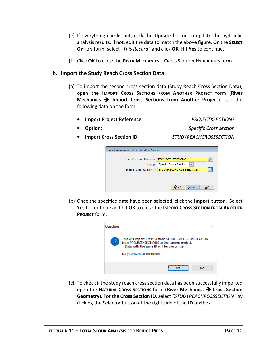- (e) If everything checks out, click the **Update** button to update the hydraulic analysisresults. If not, edit the data to match the above figure. On the **SELECT OPTION** form, select *"This Record"* and click **OK**. Hit **Yes** to continue.
- (f) Click **OK** to close the **RIVER MECHANICS – CROSS SECTION HYDRAULICS** form.

#### <span id="page-11-0"></span>**b. Import the Study Reach Cross Section Data**

- (a) To import the second cross section data (Study Reach Cross Section Data), open the **IMPORT CROSS SECTIONS FROM ANOTHER PROJECT** form (**River Mechanics** ➔ **Import Cross Sections from Another Project**). Use the following data on the form.
	- **Import Project Reference:** *PROJECTXSECTIONS*

• **Option:** *Specific Cross section*

• **Import Cross Section ID:** *STUDYREACHCROSSSECTION*

| <b>PROJECTXSECTIONS</b><br><b>Specific Cross Section</b>      | $\checkmark$ |    |  |  |  |
|---------------------------------------------------------------|--------------|----|--|--|--|
|                                                               |              |    |  |  |  |
|                                                               |              |    |  |  |  |
| <b>STUDYREACHCROSSSECTION</b><br>÷<br>Import Cross Section ID |              |    |  |  |  |
|                                                               |              |    |  |  |  |
|                                                               |              |    |  |  |  |
| <b>O</b> lnfo                                                 | Import       | OK |  |  |  |
|                                                               |              |    |  |  |  |

(b) Once the specified data have been selected, click the **Import** button. Select **Yes** to continue and hit **OK** to close the **IMPORT CROSS SECTION FROM ANOTHER PROJECT** form.



(c) To check if the study reach cross section data has been successfully imported, open the **NATURAL CROSS SECTIONS** form (**River Mechanics** ➔ **Cross Section Geometry**). For the **Cross Section ID**, select *"STUDYREACHROSSSECTION"* by clicking the Selector button at the right side of the **ID** textbox.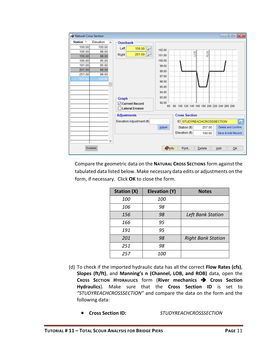| Natural Cross Section                                                                                                                                                                           |                                                                                                                                                                                         |                                                                                                                                                                                                                  |                                                                                                            | $\begin{array}{c c c c c c} \hline \multicolumn{3}{c }{\mathbf{C}} & \multicolumn{3}{c }{\mathbf{S}} & \multicolumn{3}{c }{\mathbf{S}} & \multicolumn{3}{c }{\mathbf{S}} & \multicolumn{3}{c }{\mathbf{S}} & \multicolumn{3}{c }{\mathbf{S}} & \multicolumn{3}{c }{\mathbf{S}} & \multicolumn{3}{c }{\mathbf{S}} & \multicolumn{3}{c }{\mathbf{S}} & \multicolumn{3}{c }{\mathbf{S}} & \multicolumn{3}{c }{\mathbf{S}} & \multicolumn{3}{c }{\mathbf$ |
|-------------------------------------------------------------------------------------------------------------------------------------------------------------------------------------------------|-----------------------------------------------------------------------------------------------------------------------------------------------------------------------------------------|------------------------------------------------------------------------------------------------------------------------------------------------------------------------------------------------------------------|------------------------------------------------------------------------------------------------------------|-------------------------------------------------------------------------------------------------------------------------------------------------------------------------------------------------------------------------------------------------------------------------------------------------------------------------------------------------------------------------------------------------------------------------------------------------------|
| Station $\triangle$<br>Elevation<br>A<br>100.00<br>100.00<br>106.00<br>98.00<br>98.00<br>156.00<br>166.00<br>95.00<br>191.00<br>95.00<br>201.00<br>98.00<br>251.00<br>98.00<br>100.00<br>257.00 | <b>Overbank</b><br>Left<br>156.00<br>$\rightarrow$<br>201.00<br>Right<br><b>Graph</b><br><b>○ Current Record</b><br>□Lateral Erosion<br><b>Adjustments</b><br>Elevation Adjustment (ft) | 102.00<br>101.00<br>100.00<br>99.00<br>98.00<br>97.00<br>96.00<br>95.00<br>94.00<br>93.00<br>92.00 Embredon britan de la charactería de la c<br><b>Cross Section</b><br>Adjust<br>Station (ft)<br>Elevation (ft) | 8<br>ROB<br>60 80 100 120 140 160 180 200 220 240 260 280<br>ID STUDYREACHCROSSSECTION<br>257.00<br>100.00 | $\overline{\mathcal{L}}$<br>Delete and Confirm<br>Save & Add Record                                                                                                                                                                                                                                                                                                                                                                                   |
| Overbank                                                                                                                                                                                        |                                                                                                                                                                                         | <b>Olnfo</b><br>Print                                                                                                                                                                                            | <b>Delete</b>                                                                                              | Add<br>QK<br>ú.                                                                                                                                                                                                                                                                                                                                                                                                                                       |

Compare the geometric data on the **NATURAL CROSS SECTIONS** form against the tabulated data listed below. Make necessary data edits or adjustments on the form, if necessary. Click **OK** to close the form.

| <b>Station (X)</b> | Elevation (Y) | <b>Notes</b>              |
|--------------------|---------------|---------------------------|
| 100                | 100           |                           |
| 106                | 98            |                           |
| 156                | 98            | <b>Left Bank Station</b>  |
| 166                | 95            |                           |
| 191                | 95            |                           |
| 201                | 98            | <b>Right Bank Station</b> |
| 251                | 98            |                           |
| 257                | <i>100</i>    |                           |

- (d) To check if the imported hydraulic data has all the correct **Flow Rates (cfs)**, **Slopes (ft/ft)**, and **Manning's n (Channel, LOB, and ROB)** data, open the **CROSS SECTION HYDRAULICS** form (**River mechanics** ➔ **Cross Section Hydraulics**). Make sure that the **Cross Section ID** is set to *"STUDYREACHCROSSSECTION"* and compare the data on the form and the following data:
	- **Cross Section ID:** *STUDYREACHCROSSSECTION*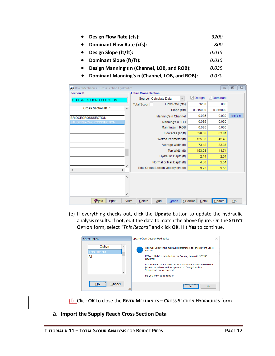- **Design Flow Rate (cfs):** *3200* • **Dominant Flow Rate (cfs):** *800* • **Design Slope (ft/ft):** *0.015* • **Dominant Slope (ft/ft):** *0.015* • **Design Manning's n (Channel, LOB, and ROB):** *0.035* • **Dominant Manning's n (Channel, LOB, and ROB):** *0.030*
- $\boxed{9}$ River Mechanics - Cross Section Hydraulics  $=$ **Section ID Entire Cross Section ⊡** Design **⊘** Dominant Source Calculate Data  $\overline{\mathbf{v}}$ **STUDYREACHCROSSSECTION** Total Scour O Flow Rate (cfs) 3200 800 Cross Section ID  $\lambda$ 0.015000 0.015000 Slope (ft/ft) Man's n Manning's n Channel 0.035 0.030 **BRIDGECROSSSECTION** 0.035 0.030 **STUDYREACHCROSSSECTION** Manning's n LOB 0.035 0.030 Manning's n ROB Flow Area (sq ft) 328.86 83.81 155.35 42.48 Wetted Perimeter (ft) Average Width (ft) 73.12 33.37 Top Width (ft) 153.98 41.74 Hydraulic Depth (ft)  $2.14$  $2.01$ Normal or Max Depth (ft) 4.50 2.51 Total Cross Section Velocity (ft/sec) 9.73 9.55  $\mathbf{r}$  $\overline{\left(}$  $\Delta$  $\checkmark$ **O**Info Print...  $\mathbf{\underline{C}}$ opy  $Delete$ Add  $G$ raph  $X$  Section Update  $QK$ Detail
- (e) If everything checks out, click the **Update** button to update the hydraulic analysis results. If not, edit the data to match the above figure. On the **SELECT OPTION** form, select *"This Record"* and click **OK**. Hit **Yes** to continue.

| <b>Select Option</b>                                | <b>Update Cross Section Hydraulics</b>                                                                                                                                                                                                                                                                                                         |
|-----------------------------------------------------|------------------------------------------------------------------------------------------------------------------------------------------------------------------------------------------------------------------------------------------------------------------------------------------------------------------------------------------------|
| Option<br>A<br><b>This Record</b><br>All<br>v       | This will update the hydraulic parameters for the current Cross<br>Section.<br>If 'Enter Data' is selected as the Source, data will NOT BE<br>updated.<br>If 'Calculate Data' is selected as the Source, the disabled fields<br>(shown in yellow) will be updated if 'Design' and/or<br>'Dominant' are/is checked.<br>Do you want to continue? |
| ------------------------------<br>Cancel<br><br>-33 | <b>No</b><br>Yes:                                                                                                                                                                                                                                                                                                                              |

(f) Click **OK** to close the **RIVER MECHANICS – CROSS SECTION HYDRAULICS** form.

<span id="page-13-0"></span>**a. Import the Supply Reach Cross Section Data**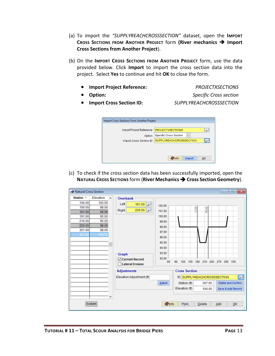- (a) To import the *"SUPPLYREACHCROSSSECTION"* dataset, open the **IMPORT CROSS SECTIONS FROM ANOTHER PROJECT** form **(River mechanics** ➔ **Import Cross Sections from Another Project**).
- (b) On the **IMPORT CROSS SECTIONS FROM ANOTHER PROJECT** form, use the data provided below. Click **Import** to import the cross section data into the project. Select **Yes** to continue and hit **OK** to close the form.
	- **Import Project Reference:** *PROJECTXSECTIONS*

• **Option:** *Specific Cross section*

• **Import Cross Section ID:** *SUPPLYREACHCROSSSECTION*

| Import Cross Sections From Another Project |                                               |
|--------------------------------------------|-----------------------------------------------|
| Import Project Reference                   | <b>PROJECTXSECTIONS</b>                       |
| Option                                     | <b>Specific Cross Section</b><br>$\checkmark$ |
| Import Cross Section ID                    | <b>SUPPLYREACHCROSSSECTION</b>                |
|                                            |                                               |
|                                            |                                               |
|                                            | Import<br>OK<br><b>D</b> Info                 |

(c) To check if the cross section data has been successfully imported, open the **NATURAL CROSS SECTIONS** form (**River Mechanics** ➔ **Cross Section Geometry**).

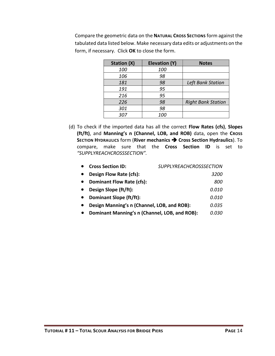Compare the geometric data on the **NATURAL CROSS SECTIONS** form against the tabulated data listed below. Make necessary data edits or adjustments on the form, if necessary. Click **OK** to close the form.

| <b>Station (X)</b> | Elevation (Y) | <b>Notes</b>              |
|--------------------|---------------|---------------------------|
| 100                | 100           |                           |
| 106                | 98            |                           |
| 181                | 98            | Left Bank Station         |
| 191                | 95            |                           |
| 216                | 95            |                           |
| 226                | 98            | <b>Right Bank Station</b> |
| 301                | 98            |                           |
| 307                | <i>100</i>    |                           |

(d) To check if the imported data has all the correct **Flow Rates (cfs)**, **Slopes (ft/ft)**, and **Manning's n (Channel, LOB, and ROB)** data, open the **CROSS SECTION HYDRAULICS** form (**River mechanics** ➔ **Cross Section Hydraulics**). To compare, make sure that the **Cross Section ID** is set to *"SUPPLYREACHCROSSSECTION".*

| <b>Cross Section ID:</b>                      | <b>SUPPLYREACHCROSSSECTION</b> |
|-----------------------------------------------|--------------------------------|
| Design Flow Rate (cfs):                       | <i>3200</i>                    |
| <b>Dominant Flow Rate (cfs):</b>              | 800                            |
| Design Slope (ft/ft):                         | <i>0.010</i>                   |
| Dominant Slope (ft/ft):                       | <i>0.010</i>                   |
| Design Manning's n (Channel, LOB, and ROB):   | 0.035                          |
| Dominant Manning's n (Channel, LOB, and ROB): | 0.030                          |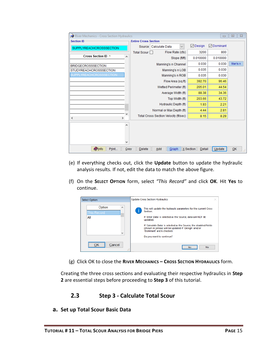| River Mechanics - Cross Section Hydraulics |        |                             |                                       |                          |              |                        | $\Box$            | $\Sigma$<br>回 |
|--------------------------------------------|--------|-----------------------------|---------------------------------------|--------------------------|--------------|------------------------|-------------------|---------------|
| <b>Section ID</b>                          |        | <b>Entire Cross Section</b> |                                       |                          |              |                        |                   |               |
| <b>SUPPLYREACHCROSSSECTION</b>             |        | Source                      | Calculate Data                        |                          | $\checkmark$ | $\triangledown$ Design | <b>∞</b> Dominant |               |
|                                            |        | Total Scour                 |                                       | Flow Rate (cfs)          |              | 3200                   | 800               |               |
| Cross Section ID $\triangle$               | A      |                             |                                       | Slope (ft/ft)            |              | 0.010000               | 0.010000          |               |
| <b>BRIDGECROSSSECTION</b>                  |        |                             |                                       | Manning's n Channel      |              | 0.030                  | 0.030             | Man's n       |
| <b>STUDYREACHCROSSSECTION</b>              |        |                             |                                       | Manning's n LOB          |              | 0.035                  | 0.030             |               |
| SUPPLYREACHCROSSSECTION                    |        |                             |                                       | Manning's n ROB          |              | 0.035                  | 0.030             |               |
|                                            |        |                             |                                       | Flow Area (sq ft)        |              | 392.70                 | 96.46             |               |
|                                            |        |                             |                                       | Wetted Perimeter (ft)    |              | 205.01                 | 44.54             |               |
|                                            |        |                             |                                       | Average Width (ft)       |              | 88.38                  | 34.36             |               |
|                                            |        |                             |                                       | Top Width (ft)           |              | 203.66                 | 43.72             |               |
|                                            |        |                             |                                       | Hydraulic Depth (ft)     |              | 1.93                   | 2.21              |               |
|                                            |        |                             |                                       | Normal or Max Depth (ft) |              | 4.44                   | 2.81              |               |
| $\rightarrow$<br>$\overline{\phantom{a}}$  |        |                             | Total Cross Section Velocity (ft/sec) |                          |              | 8.15                   | 8.29              |               |
|                                            | ۸<br>٧ |                             |                                       |                          |              |                        |                   |               |
| <b>Olnfo</b><br>Print                      | Copy   | Delete                      | Add                                   | Graph                    |              | X Section<br>Detail    | Update            | QK<br>ă       |

- (e) If everything checks out, click the **Update** button to update the hydraulic analysis results. If not, edit the data to match the above figure.
- (f) On the **SELECT OPTION** form, select *"This Record"* and click **OK**. Hit **Yes** to continue.



(g) Click OK to close the **RIVER MECHANICS – CROSS SECTION HYDRAULICS** form.

Creating the three cross sections and evaluating their respective hydraulics in **Step 2** are essential steps before proceeding to **Step 3** of this tutorial.

# **2.3 Step 3 - Calculate Total Scour**

<span id="page-16-0"></span>**a. Set up Total Scour Basic Data**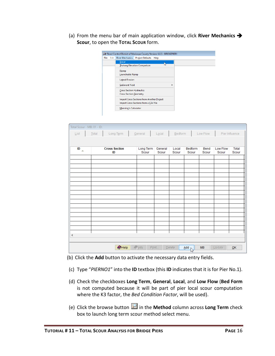(a) From the menu bar of main application window, click **River Mechanics** ➔ **Scour**, to open the **TOTAL SCOUR** form.

| File | Edit | River Mechanics Project Defaults Help |                                            |    |
|------|------|---------------------------------------|--------------------------------------------|----|
|      |      | Scour                                 |                                            |    |
|      |      |                                       | <b>Thalweg Elevation Comparison</b>        | lп |
|      |      | Riprap                                |                                            |    |
|      |      | Launchable Riprap                     |                                            |    |
|      |      | <b>Lateral Erosion</b>                |                                            |    |
|      |      | <b>Sediment Yield</b>                 |                                            | ▶  |
|      |      | <b>Cross Section Hydraulics</b>       |                                            |    |
|      |      | <b>Cross Section Geometry</b>         |                                            |    |
|      |      |                                       | Import Cross Sections from Another Project |    |
|      |      |                                       | Import Cross Sections from a CSV File      |    |
|      |      | Manning's Calculator                  |                                            |    |

| Total Scour - MB: 01 - ID:                                                                     |                            |                    |                  |                |                  |               |                   |                |  |
|------------------------------------------------------------------------------------------------|----------------------------|--------------------|------------------|----------------|------------------|---------------|-------------------|----------------|--|
| List                                                                                           | Long Term<br>Total         | General            | Local            | $B$ edform     |                  | Low Flow      |                   | Pier Influence |  |
|                                                                                                |                            |                    |                  |                |                  |               |                   |                |  |
| ID<br>$\Delta$                                                                                 | <b>Cross Section</b><br>ID | Long Term<br>Scour | General<br>Scour | Local<br>Scour | Bedform<br>Scour | Bend<br>Scour | Low Flow<br>Scour | Total<br>Scour |  |
|                                                                                                |                            |                    |                  |                |                  |               |                   |                |  |
|                                                                                                |                            |                    |                  |                |                  |               |                   |                |  |
|                                                                                                |                            |                    |                  |                |                  |               |                   |                |  |
|                                                                                                |                            |                    |                  |                |                  |               |                   |                |  |
|                                                                                                |                            |                    |                  |                |                  |               |                   |                |  |
|                                                                                                |                            |                    |                  |                |                  |               |                   |                |  |
|                                                                                                |                            |                    |                  |                |                  |               |                   |                |  |
|                                                                                                |                            |                    |                  |                |                  |               |                   |                |  |
|                                                                                                |                            |                    |                  |                |                  |               |                   |                |  |
|                                                                                                |                            |                    |                  |                |                  |               |                   |                |  |
|                                                                                                |                            |                    |                  |                |                  |               |                   |                |  |
|                                                                                                |                            |                    |                  |                |                  |               |                   |                |  |
|                                                                                                |                            |                    |                  |                |                  |               |                   |                |  |
| $\,<$                                                                                          |                            |                    |                  |                |                  |               |                   |                |  |
| $\bullet$ Help<br>$\sqrt{\ln 10}$<br>Print<br><b>MB</b><br>QK<br>Delete<br>Add<br>Update<br>WS |                            |                    |                  |                |                  |               |                   |                |  |

(b) Click the **Add** button to activate the necessary data entry fields.

- (c) Type "*PIERNO1*" into the **ID** textbox (this **ID** indicates that it is for Pier No.1).
- (d) Check the checkboxes **Long Term**, **General**, **Local**, and **Low Flow** (**Bed Form** is not computed because it will be part of pier local scour computation where the K3 factor, the *Bed Condition Factor*, will be used).
- (e) Click the browse button in the **Method** column across **Long Term** check box to launch long term scour method select menu.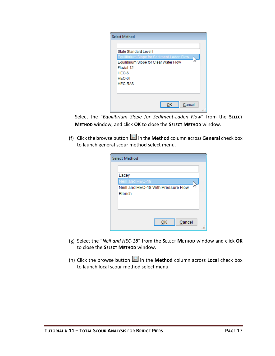| <b>Select Method</b>                      |
|-------------------------------------------|
|                                           |
| State Standard Level I                    |
| Equilibrium Slope for Sediment-Laden Flow |
| Equilibrium Slope for Clear Water Flow    |
| Fluvial-12                                |
| $HEC-6$                                   |
| HEC-6T                                    |
| <b>HEC-RAS</b>                            |
|                                           |
|                                           |
|                                           |
| Cancel                                    |
|                                           |

Select the "*Equilibrium Slope for Sediment-Laden Flow*" from the **SELECT METHOD** window, and click **OK** to close the **SELECT METHOD** window.

(f) Click the browse button **in the Method** column across **General** check box to launch general scour method select menu.

| <b>Select Method</b>                |
|-------------------------------------|
|                                     |
| Lacey                               |
| Neill and HEC-18                    |
| Neill and HEC-18 With Pressure Flow |
| Blench                              |
|                                     |
|                                     |
| Cancel<br>ОΚ                        |
|                                     |

- (g) Select the "*Neil and HEC-18*" from the **SELECT METHOD** window and click **OK** to close the **SELECT METHOD** window.
- (h) Click the browse button  $\Box$  in the **Method** column across **Local** check box to launch local scour method select menu.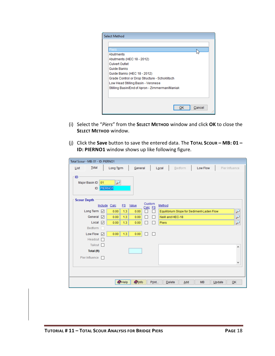| <b>Select Method</b>                           |
|------------------------------------------------|
|                                                |
| 'iers                                          |
| Abutments                                      |
| Abutments (HEC 18 - 2012)                      |
| <b>Culvert Outlet</b>                          |
| Guide Banks                                    |
| Guide Banks (HEC 18 - 2012)                    |
| Grade Control or Drop Structure - Schoklitsch  |
| Low Head Stilling Basin - Veronese             |
| Stilling Basin/End of Apron - Zimmerman/Maniak |
|                                                |
|                                                |
|                                                |
| Cancel                                         |
|                                                |

- (i) Select the "*Piers*" from the **SELECT METHOD** window and click **OK** to close the **SELECT METHOD** window.
- (j) Click the **Save** button to save the entered data. The **TOTAL SCOUR – MB: 01 – ID: PIERNO1** window shows up like following figure.

| Total Scour - MB: 01 - ID: PIERNO1                   |                                    |         |                                           |                     |                        |  |  |  |  |
|------------------------------------------------------|------------------------------------|---------|-------------------------------------------|---------------------|------------------------|--|--|--|--|
| Total<br>List                                        | Long Term<br>General               |         | Bedform<br>Local                          | Low Flow            | Pier Influence         |  |  |  |  |
| ID<br>₽<br>01<br>Major Basin ID<br><b>ID PIERNO1</b> |                                    |         |                                           |                     |                        |  |  |  |  |
| <b>Scour Depth</b>                                   |                                    | Custom  |                                           |                     |                        |  |  |  |  |
|                                                      | Include Calc<br><b>FS</b><br>Value | Calc FS | Method                                    |                     |                        |  |  |  |  |
| Long Term <a><br/>General<br/>☑</a>                  | 1.3<br>0.00<br>0.00<br>1.3<br>0.00 | П       | Equilibrium Slope for Sediment-Laden Flow |                     | ₽                      |  |  |  |  |
| Local<br>☑                                           | 0.00<br>0.00<br>1.3<br>0.00        | П<br>П  | Neill and HEC-18<br>Piers                 |                     | r<br>$\overline{\rho}$ |  |  |  |  |
| Bedform                                              |                                    |         |                                           |                     |                        |  |  |  |  |
| Low Flow<br>☑                                        | 0.00<br>1.3<br>0.00                | П       |                                           |                     |                        |  |  |  |  |
| Headcut $\Box$                                       |                                    |         |                                           |                     |                        |  |  |  |  |
| Tailcut                                              |                                    |         |                                           |                     | ۸                      |  |  |  |  |
| Total (ft)                                           |                                    |         |                                           |                     |                        |  |  |  |  |
| Pier Influence<br>П                                  |                                    |         |                                           |                     |                        |  |  |  |  |
|                                                      |                                    |         |                                           |                     | v                      |  |  |  |  |
|                                                      |                                    |         |                                           |                     |                        |  |  |  |  |
|                                                      |                                    |         |                                           |                     |                        |  |  |  |  |
|                                                      | $\bullet$ Help<br><b>O</b> Info    | Print   | Add<br>Delete                             | <b>MB</b><br>Update | OK                     |  |  |  |  |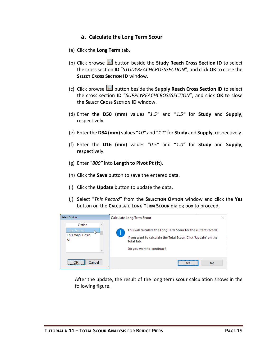#### **a. Calculate the Long Term Scour**

- (a) Click the **Long Term** tab.
- (b) Click browse **button beside the Study Reach Cross Section ID** to select the cross section **ID** "*STUDYREACHCROSSSECTION*", and click **OK** to close the **SELECT CROSS SECTION ID** window.
- (c) Click browse button beside the **Supply Reach Cross Section ID** to select the cross section **ID** "*SUPPLYREACHCROSSSECTION*", and click **OK** to close the **SELECT CROSS SECTION ID** window.
- (d) Enter the **D50 (mm)** values "*1.5"* and "*1.5"* for **Study** and **Supply**, respectively.
- (e) Enter the **D84 (mm)** values "*10"* and "*12"* for **Study** and **Supply**, respectively.
- (f) Enter the **D16 (mm)** values "*0.5"* and "*1.0"* for **Study** and **Supply**, respectively.
- (g) Enter "*800"* into **Length to Pivot Pt (ft)**.
- (h) Click the **Save** button to save the entered data.
- (i) Click the **Update** button to update the data.
- (j) Select "*This Record*" from the **SELECTION OPTION** window and click the **Yes** button on the **CALCULATE LONG TERM SCOUR** dialog box to proceed.



After the update, the result of the long term scour calculation shows in the following figure.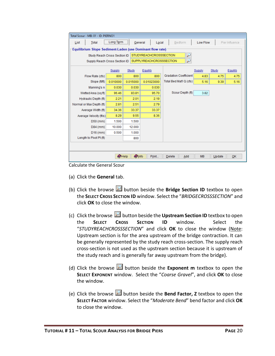| Total Scour - MB: 01 - ID: PIERNO1                              |                 |               |            |                              |           |        |                |  |  |
|-----------------------------------------------------------------|-----------------|---------------|------------|------------------------------|-----------|--------|----------------|--|--|
| List<br>Total                                                   | Long Term       | General       | Local      | Bedform                      | Low Flow  |        | Pier Influence |  |  |
| Equilibrium Slope Sediment-Laden (use Dominant flow rate)       |                 |               |            |                              |           |        |                |  |  |
| <b>STUDYREACHCROSSSECTION</b><br>Study Reach Cross Section ID   |                 |               |            |                              |           |        |                |  |  |
| <b>SUPPLYREACHCROSSSECTION</b><br>Supply Reach Cross Section ID |                 |               |            |                              |           |        |                |  |  |
| Supply<br>Study<br>Equilib<br>Supply<br>Study<br>Equilib        |                 |               |            |                              |           |        |                |  |  |
| Flow Rate (cfs)                                                 | 800             | 800           | 800        | <b>Gradation Coefficient</b> | 4.83      | 4.75   | 4.75           |  |  |
| Slope (ft/ft)                                                   | 0.010000        | 0.015000      | 0.01023000 | Total Bed Mat'l Q (cfs)      | 5.16      | 9.39   | 5.16           |  |  |
| Manning's n                                                     | 0.030           | 0.030         | 0.030      |                              |           |        |                |  |  |
| Wetted Area (sq ft)                                             | 96.46           | 83.81         | 95.70      | Scour Depth (ft)             | 3.82      |        |                |  |  |
| Hydraulic Depth (ft)                                            | 2.21            | 2.01          | 2.19       |                              |           |        |                |  |  |
| Normal or Max Depth (ft)                                        | 2.81            | 2.51          | 2.79       |                              |           |        |                |  |  |
| Average Width (ft)                                              | 34.36           | 33.37         | 33.37      |                              |           |        |                |  |  |
| Average Velocity (ft/s)                                         | 8.29            | 9.55          | 8.36       |                              |           |        |                |  |  |
| D50 (mm)                                                        | 1.500           | 1.500         |            |                              |           |        |                |  |  |
| D84 (mm)                                                        | 10.000          | 12.000        |            |                              |           |        |                |  |  |
| $D16$ (mm)                                                      | 0.500           | 1.000         |            |                              |           |        |                |  |  |
| Length to Pivot Pt (ft)                                         |                 | 800           |            |                              |           |        |                |  |  |
|                                                                 |                 |               |            |                              |           |        |                |  |  |
|                                                                 | $\bigcirc$ Help | <b>O</b> Info | Print      | Delete<br>Add                | <b>MB</b> | Update | OK             |  |  |

Calculate the General Scour

- (a) Click the **General** tab.
- (b) Click the browse **button beside the Bridge Section ID** textbox to open the **SELECT CROSS SECTION ID** window. Select the "*BRIDGECROSSSECTION*" and click **OK** to close the window.
- (c) Click the browse **button beside the Upstream Section ID** textbox to open the **SELECT CROSS SECTION ID** window. Select the "*STUDYREACHCROSSSECTION*" and click **OK** to close the window (Note: Upstream section is for the area upstream of the bridge contraction. It can be generally represented by the study reach cross-section. The supply reach cross-section is not used as the upstream section because it is upstream of the study reach and is generally far away upstream from the bridge).
- (d) Click the browse  $\mathbb{Z}$  button beside the **Exponent m** textbox to open the **SELECT EXPONENT** window. Select the "*Coarse Gravel*", and click **OK** to close the window.
- (e) Click the browse button beside the **Bend Factor, Z** textbox to open the **SELECT FACTOR** window. Select the "*Moderate Bend*" bend factor and click **OK** to close the window.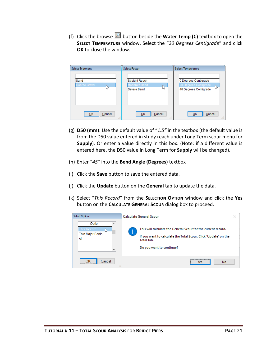(f) Click the browse  $\blacksquare$  button beside the **Water Temp (C)** textbox to open the **SELECT TEMPERATURE** window. Select the "*20 Degrees Centigrade*" and click **OK** to close the window.

| <b>Select Exponent</b>     | <b>Select Factor</b>                                | Select Temperature                                                           |  |  |
|----------------------------|-----------------------------------------------------|------------------------------------------------------------------------------|--|--|
| Sand<br>Coarse Gravel<br>M | Straight Reach<br>Moderate Bend<br>M<br>Severe Bend | 0 Degrees Centigrade<br>20 Degrees Centigrade<br>И٢<br>40 Degrees Centigrade |  |  |
| Cancel<br>OK<br>ШI         | Cancel<br>OK<br>1.11                                | Cancel<br>QK<br>цź,                                                          |  |  |

- (g) **D50 (mm)**: Use the default value of "*1.5"* in the textbox (the default value is from the D50 value entered in study reach under Long Term scour menu for **Supply**). Or enter a value directly in this box. (Note: if a different value is entered here, the D50 value in Long Term for **Supply** will be changed).
- (h) Enter "*45"* into the **Bend Angle (Degrees)** textbox
- (i) Click the **Save** button to save the entered data.
- (j) Click the **Update** button on the **General** tab to update the data.
- (k) Select "*This Record*" from the **SELECTION OPTION** window and click the **Yes** button on the **CALCULATE GENERAL SCOUR** dialog box to proceed.

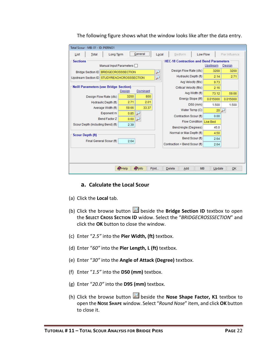

The following figure shows what the window looks like after the data entry.

#### **a. Calculate the Local Scour**

- <span id="page-23-0"></span>(a) Click the **Local** tab.
- (b) Click the browse button **b** beside the **Bridge Section ID** textbox to open the **SELECT CROSS SECTION ID** widow. Select the "*BRIDGECROSSSECTION*" and click the **OK** button to close the window.
- (c) Enter "*2.5"* into the **Pier Width, (ft)** textbox.
- (d) Enter "*60"* into the **Pier Length, L (ft)** textbox.
- (e) Enter "*30"* into the **Angle of Attack (Degree)** textbox.
- (f) Enter "*1.5"* into the **D50 (mm)** textbox.
- (g) Enter "*20.0"* into the **D95 (mm)** textbox.
- (h) Click the browse button  $\Box$  beside the **Nose Shape Factor, K1** textbox to open the **NOSE SHAPE** window. Select "*Round Nose*" item, and click **OK** button to close it.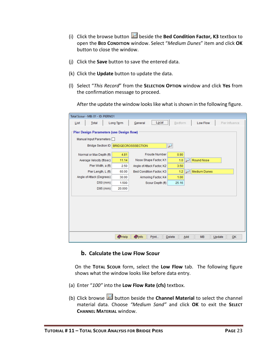- (i) Click the browse button **b**eside the **Bed Condition Factor, K3** textbox to open the **BED CONDITION** window. Select "*Medium Dunes*" item and click **OK** button to close the window.
- (j) Click the **Save** button to save the entered data.
- (k) Click the **Update** button to update the data.
- (l) Select "*This Record*" from the **SELECTION OPTION** window and click **Yes** from the confirmation message to proceed.

After the update the window looks like what is shown in the following figure.

|      | Total Scour - MB: 01 - ID: PIERNO1       |          |                           |              |                            |        |         |     |                     |        |                |
|------|------------------------------------------|----------|---------------------------|--------------|----------------------------|--------|---------|-----|---------------------|--------|----------------|
| List | Total                                    |          | Long Term                 | General      | Local                      |        | Bedform |     | Low Flow            |        | Pier Influence |
|      | Pier Design Parameters (use Design flow) |          |                           |              |                            |        |         |     |                     |        |                |
|      | Manual Input Parameters                  |          |                           |              |                            |        |         |     |                     |        |                |
|      | <b>Bridge Section ID</b>                 |          | <b>BRIDGECROSSSECTION</b> |              |                            | ₽      |         |     |                     |        |                |
|      | Normal or Max Depth (ft)                 |          | 4.81                      |              | <b>Froude Number</b>       |        | 0.90    |     |                     |        |                |
|      | Average Velocity (ft/sec)                |          | 11.14                     |              | Nose Shape Factor, K1      |        | 1.0     |     | Round Nose          |        |                |
|      | Pier Width, a (ft)                       |          | 2.50                      |              | Angle of Attack Factor, K2 |        | 3.50    |     |                     |        |                |
|      | Pier Length, L (ft)                      |          | 60.00                     |              | Bed Condition Factor, K3   |        | 1.2     |     | <b>Medium Dunes</b> |        |                |
|      | Angle of Attack (Degrees)                |          | 30.00                     |              | Armoring Factor, K4        |        | 1.00    |     |                     |        |                |
|      |                                          | D50 (mm) | 1.500                     |              | Scour Depth (ft)           |        | 25.16   |     |                     |        |                |
|      |                                          | D95 (mm) | 20,000                    |              |                            |        |         |     |                     |        |                |
|      |                                          |          |                           |              |                            |        |         |     |                     |        |                |
|      |                                          |          |                           |              |                            |        |         |     |                     |        |                |
|      |                                          |          |                           |              |                            |        |         |     |                     |        |                |
|      |                                          |          |                           |              |                            |        |         |     |                     |        |                |
|      |                                          |          |                           |              |                            |        |         |     |                     |        |                |
|      |                                          |          |                           |              |                            |        |         |     |                     |        |                |
|      |                                          |          |                           |              |                            |        |         |     |                     |        |                |
|      |                                          |          | $\bullet$ Help            | <b>Olnfo</b> | Print                      | Delete |         | Add | <b>MB</b>           | Update | OK             |

#### **b. Calculate the Low Flow Scour**

<span id="page-24-0"></span>On the **TOTAL SCOUR** form, select the **Low Flow** tab. The following figure shows what the window looks like before data entry.

- (a) Enter "*100"* into the **Low Flow Rate (cfs)** textbox.
- (b) Click browse **button beside the Channel Material** to select the channel material data. Choose *"Medium Sand"* and click **OK** to exit the **SELECT CHANNEL MATERIAL** window.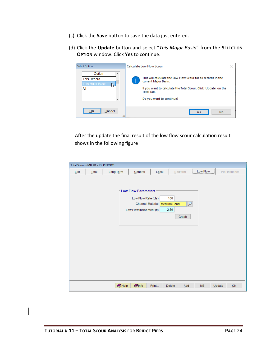- (c) Click the **Save** button to save the data just entered.
- (d) Click the **Update** button and select "*This Major Basin*" from the **SELECTION OPTION** window. Click **Yes** to continue.

| <b>Select Option</b>                                                         | <b>Calculate Low Flow Scour</b>                                                                                                                                                                           |  |  |  |
|------------------------------------------------------------------------------|-----------------------------------------------------------------------------------------------------------------------------------------------------------------------------------------------------------|--|--|--|
| Option<br>Α<br><b>This Record</b><br>This Major Basin<br>All<br>$\checkmark$ | This will calculate the Low Flow Scour for all records in the<br>current Major Basin.<br>If you want to calculate the Total Scour, Click 'Update' on the<br><b>Total Tab.</b><br>Do you want to continue? |  |  |  |
| OK<br>Cancel<br>$\mathbf{r}$<br>1111                                         | <b>No</b><br><b>Yes</b>                                                                                                                                                                                   |  |  |  |

After the update the final result of the low flow scour calculation result shows in the following figure

| Total Scour - MB: 01 - ID: PIERNO1                                                          |
|---------------------------------------------------------------------------------------------|
| Low Flow<br>Total<br>Long Term<br>General<br>Bedform<br>$L_0$ cal<br>Pier Influence<br>List |
|                                                                                             |
|                                                                                             |
| <b>Low Flow Parameters</b>                                                                  |
| Low Flow Rate (cfs)<br>100                                                                  |
| <b>Channel Material</b><br>$\overline{\nu}$<br><b>Medium Sand</b>                           |
| 2.50<br>Low Flow Incisement (ft)                                                            |
| Graph                                                                                       |
|                                                                                             |
|                                                                                             |
|                                                                                             |
|                                                                                             |
|                                                                                             |
|                                                                                             |
|                                                                                             |
|                                                                                             |
|                                                                                             |
|                                                                                             |
| $\bullet$ Help<br><b>O</b> Info<br>Print<br>$D$ elete<br>Add<br><b>MB</b><br>Update<br>QK   |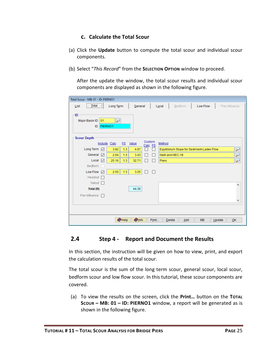#### **c. Calculate the Total Scour**

- <span id="page-26-0"></span>(a) Click the **Update** button to compute the total scour and individual scour components.
- (b) Select "*This Record*" from the **SELECTION OPTION** window to proceed.

After the update the window, the total scour results and individual scour components are displayed as shown in the following figure.

| Total Scour - MB: 01 - ID: PIERNO1                      |                                    |                                    |                                           |                 |                |  |  |  |  |
|---------------------------------------------------------|------------------------------------|------------------------------------|-------------------------------------------|-----------------|----------------|--|--|--|--|
| $Total$<br>List                                         | Long Term                          | General                            | Local<br>Bedform                          | <b>Low Flow</b> | Pier Influence |  |  |  |  |
| ID<br>₽<br>01<br>Major Basin ID<br><b>PIERNO1</b><br>ID |                                    |                                    |                                           |                 |                |  |  |  |  |
| <b>Scour Depth</b>                                      | Value<br>Include Calc<br><b>FS</b> | Custom                             | Method                                    |                 |                |  |  |  |  |
| Long Term <a></a>                                       | 3.82<br>1.3<br>4.97                | Calc FS<br>п<br>H                  | Equilibrium Slope for Sediment-Laden Flow |                 |                |  |  |  |  |
| General<br>☑                                            | 2.64<br>1.3<br>3.43                | $\Box$<br>$\overline{\phantom{a}}$ | Neill and HEC-18                          |                 |                |  |  |  |  |
| Local<br>☑                                              | 1.3<br>25.16<br>32.71              | П<br>H                             | <b>Piers</b>                              |                 | لئو            |  |  |  |  |
| Bedform                                                 |                                    |                                    |                                           |                 |                |  |  |  |  |
| Low Flow<br>☑                                           | 1.3<br>2.50<br>3.25                | П<br>П                             |                                           |                 |                |  |  |  |  |
| Headcut $\Box$                                          |                                    |                                    |                                           |                 |                |  |  |  |  |
| Tailcut<br>H                                            |                                    |                                    |                                           |                 | ۸              |  |  |  |  |
| Total (ft)                                              | 44.36                              |                                    |                                           |                 |                |  |  |  |  |
| Pier Influence<br>П                                     |                                    |                                    |                                           |                 |                |  |  |  |  |
|                                                         |                                    |                                    |                                           |                 | v              |  |  |  |  |
|                                                         |                                    |                                    |                                           |                 |                |  |  |  |  |
|                                                         | Help<br><b>O</b> Info              | Print                              | Delete<br>Add                             | <b>MB</b>       | Update<br>QK   |  |  |  |  |

# <span id="page-26-1"></span>**2.4 Step 4 - Report and Document the Results**

In this section, the instruction will be given on how to view, print, and export the calculation results of the total scour.

The total scour is the sum of the long term scour, general scour, local scour, bedform scour and low flow scour. In this tutorial, these scour components are covered.

(a) To view the results on the screen, click the **Print…** button on the **TOTAL SCOUR – MB: 01 – ID: PIERNO1** window, a report will be generated as is shown in the following figure.